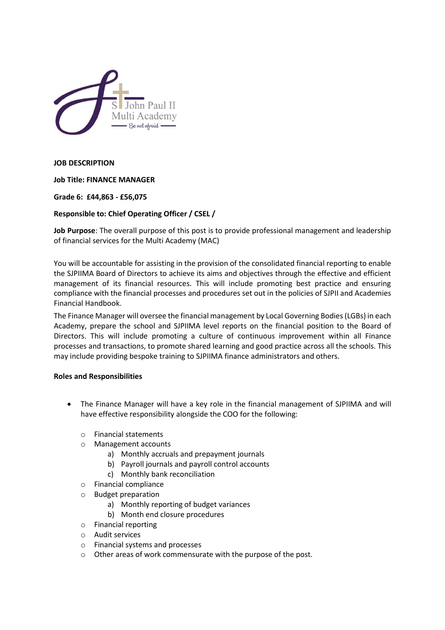

**JOB DESCRIPTION** 

**Job Title: FINANCE MANAGER**

**Grade 6: £44,863 - £56,075**

# **Responsible to: Chief Operating Officer / CSEL /**

**Job Purpose**: The overall purpose of this post is to provide professional management and leadership of financial services for the Multi Academy (MAC)

You will be accountable for assisting in the provision of the consolidated financial reporting to enable the SJPIIMA Board of Directors to achieve its aims and objectives through the effective and efficient management of its financial resources. This will include promoting best practice and ensuring compliance with the financial processes and procedures set out in the policies of SJPII and Academies Financial Handbook.

The Finance Manager will oversee the financial management by Local Governing Bodies (LGBs) in each Academy, prepare the school and SJPIIMA level reports on the financial position to the Board of Directors. This will include promoting a culture of continuous improvement within all Finance processes and transactions, to promote shared learning and good practice across all the schools. This may include providing bespoke training to SJPIIMA finance administrators and others.

#### **Roles and Responsibilities**

- The Finance Manager will have a key role in the financial management of SJPIIMA and will have effective responsibility alongside the COO for the following:
	- o Financial statements
	- o Management accounts
		- a) Monthly accruals and prepayment journals
		- b) Payroll journals and payroll control accounts
		- c) Monthly bank reconciliation
	- o Financial compliance
	- o Budget preparation
		- a) Monthly reporting of budget variances
		- b) Month end closure procedures
	- o Financial reporting
	- o Audit services
	- o Financial systems and processes
	- o Other areas of work commensurate with the purpose of the post.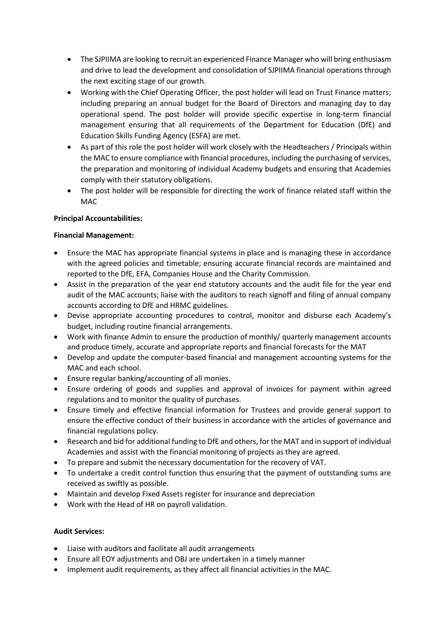- The SJPIIMA are looking to recruit an experienced Finance Manager who will bring enthusiasm and drive to lead the development and consolidation of SJPIIMA financial operations through the next exciting stage of our growth.
- Working with the Chief Operating Officer, the post holder will lead on Trust Finance matters; including preparing an annual budget for the Board of Directors and managing day to day operational spend. The post holder will provide specific expertise in long-term financial management ensuring that all requirements of the Department for Education (DfE) and Education Skills Funding Agency (ESFA) are met.
- As part of this role the post holder will work closely with the Headteachers / Principals within the MAC to ensure compliance with financial procedures, including the purchasing of services, the preparation and monitoring of individual Academy budgets and ensuring that Academies comply with their statutory obligations.
- The post holder will be responsible for directing the work of finance related staff within the MAC

# **Principal Accountabilities:**

### **Financial Management:**

- Ensure the MAC has appropriate financial systems in place and is managing these in accordance with the agreed policies and timetable; ensuring accurate financial records are maintained and reported to the DfE, EFA, Companies House and the Charity Commission.
- Assist in the preparation of the year end statutory accounts and the audit file for the year end audit of the MAC accounts; liaise with the auditors to reach signoff and filing of annual company accounts according to DfE and HRMC guidelines.
- Devise appropriate accounting procedures to control, monitor and disburse each Academy's budget, including routine financial arrangements.
- Work with finance Admin to ensure the production of monthly/ quarterly management accounts and produce timely, accurate and appropriate reports and financial forecasts for the MAT
- Develop and update the computer-based financial and management accounting systems for the MAC and each school.
- Ensure regular banking/accounting of all monies.
- Ensure ordering of goods and supplies and approval of invoices for payment within agreed regulations and to monitor the quality of purchases.
- Ensure timely and effective financial information for Trustees and provide general support to ensure the effective conduct of their business in accordance with the articles of governance and financial regulations policy.
- Research and bid for additional funding to DfE and others, for the MAT and in support of individual Academies and assist with the financial monitoring of projects as they are agreed.
- To prepare and submit the necessary documentation for the recovery of VAT.
- To undertake a credit control function thus ensuring that the payment of outstanding sums are received as swiftly as possible.
- Maintain and develop Fixed Assets register for insurance and depreciation
- Work with the Head of HR on payroll validation.

# **Audit Services:**

- Liaise with auditors and facilitate all audit arrangements
- Ensure all EOY adjustments and OBJ are undertaken in a timely manner
- Implement audit requirements, as they affect all financial activities in the MAC.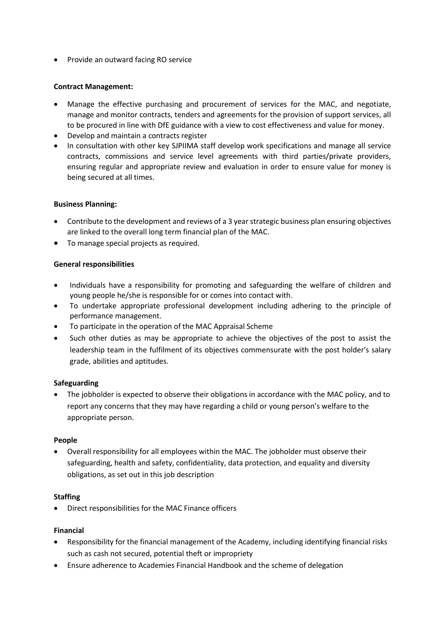• Provide an outward facing RO service

### **Contract Management:**

- Manage the effective purchasing and procurement of services for the MAC, and negotiate, manage and monitor contracts, tenders and agreements for the provision of support services, all to be procured in line with DfE guidance with a view to cost effectiveness and value for money.
- Develop and maintain a contracts register
- In consultation with other key SJPIIMA staff develop work specifications and manage all service contracts, commissions and service level agreements with third parties/private providers, ensuring regular and appropriate review and evaluation in order to ensure value for money is being secured at all times.

### **Business Planning:**

- Contribute to the development and reviews of a 3 year strategic business plan ensuring objectives are linked to the overall long term financial plan of the MAC.
- To manage special projects as required.

### **General responsibilities**

- Individuals have a responsibility for promoting and safeguarding the welfare of children and young people he/she is responsible for or comes into contact with.
- To undertake appropriate professional development including adhering to the principle of performance management.
- To participate in the operation of the MAC Appraisal Scheme
- Such other duties as may be appropriate to achieve the objectives of the post to assist the leadership team in the fulfilment of its objectives commensurate with the post holder's salary grade, abilities and aptitudes.

#### **Safeguarding**

 The jobholder is expected to observe their obligations in accordance with the MAC policy, and to report any concerns that they may have regarding a child or young person's welfare to the appropriate person.

#### **People**

 Overall responsibility for all employees within the MAC. The jobholder must observe their safeguarding, health and safety, confidentiality, data protection, and equality and diversity obligations, as set out in this job description

#### **Staffing**

Direct responsibilities for the MAC Finance officers

#### **Financial**

- Responsibility for the financial management of the Academy, including identifying financial risks such as cash not secured, potential theft or impropriety
- Ensure adherence to Academies Financial Handbook and the scheme of delegation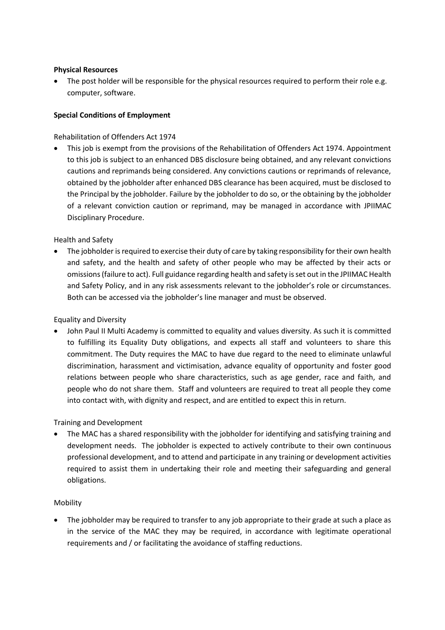### **Physical Resources**

 The post holder will be responsible for the physical resources required to perform their role e.g. computer, software.

### **Special Conditions of Employment**

Rehabilitation of Offenders Act 1974

 This job is exempt from the provisions of the Rehabilitation of Offenders Act 1974. Appointment to this job is subject to an enhanced DBS disclosure being obtained, and any relevant convictions cautions and reprimands being considered. Any convictions cautions or reprimands of relevance, obtained by the jobholder after enhanced DBS clearance has been acquired, must be disclosed to the Principal by the jobholder. Failure by the jobholder to do so, or the obtaining by the jobholder of a relevant conviction caution or reprimand, may be managed in accordance with JPIIMAC Disciplinary Procedure.

Health and Safety

 The jobholder is required to exercise their duty of care by taking responsibility for their own health and safety, and the health and safety of other people who may be affected by their acts or omissions (failure to act). Full guidance regarding health and safety is set out in the JPIIMAC Health and Safety Policy, and in any risk assessments relevant to the jobholder's role or circumstances. Both can be accessed via the jobholder's line manager and must be observed.

Equality and Diversity

 John Paul II Multi Academy is committed to equality and values diversity. As such it is committed to fulfilling its Equality Duty obligations, and expects all staff and volunteers to share this commitment. The Duty requires the MAC to have due regard to the need to eliminate unlawful discrimination, harassment and victimisation, advance equality of opportunity and foster good relations between people who share characteristics, such as age gender, race and faith, and people who do not share them. Staff and volunteers are required to treat all people they come into contact with, with dignity and respect, and are entitled to expect this in return.

Training and Development

 The MAC has a shared responsibility with the jobholder for identifying and satisfying training and development needs. The jobholder is expected to actively contribute to their own continuous professional development, and to attend and participate in any training or development activities required to assist them in undertaking their role and meeting their safeguarding and general obligations.

#### Mobility

 The jobholder may be required to transfer to any job appropriate to their grade at such a place as in the service of the MAC they may be required, in accordance with legitimate operational requirements and / or facilitating the avoidance of staffing reductions.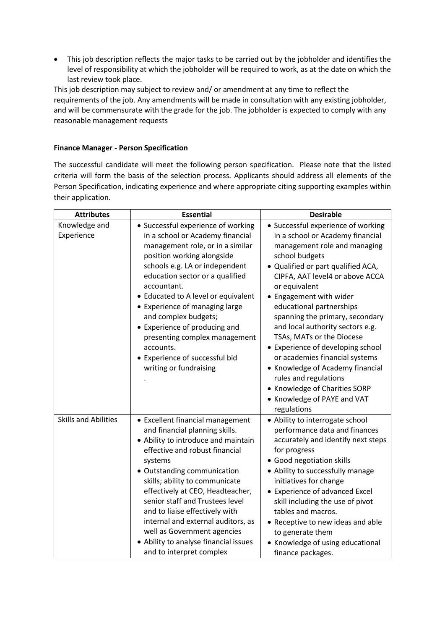This job description reflects the major tasks to be carried out by the jobholder and identifies the level of responsibility at which the jobholder will be required to work, as at the date on which the last review took place.

This job description may subject to review and/ or amendment at any time to reflect the requirements of the job. Any amendments will be made in consultation with any existing jobholder, and will be commensurate with the grade for the job. The jobholder is expected to comply with any reasonable management requests

## **Finance Manager - Person Specification**

The successful candidate will meet the following person specification. Please note that the listed criteria will form the basis of the selection process. Applicants should address all elements of the Person Specification, indicating experience and where appropriate citing supporting examples within their application.

| <b>Attributes</b>           | <b>Essential</b>                                                                                                                                                                                                                                                                                                                                                                                                                                                           | <b>Desirable</b>                                                                                                                                                                                                                                                                                                                                                                                                                                                                                                                                                                                 |
|-----------------------------|----------------------------------------------------------------------------------------------------------------------------------------------------------------------------------------------------------------------------------------------------------------------------------------------------------------------------------------------------------------------------------------------------------------------------------------------------------------------------|--------------------------------------------------------------------------------------------------------------------------------------------------------------------------------------------------------------------------------------------------------------------------------------------------------------------------------------------------------------------------------------------------------------------------------------------------------------------------------------------------------------------------------------------------------------------------------------------------|
| Knowledge and<br>Experience | • Successful experience of working<br>in a school or Academy financial<br>management role, or in a similar<br>position working alongside<br>schools e.g. LA or independent<br>education sector or a qualified<br>accountant.<br>• Educated to A level or equivalent<br>• Experience of managing large<br>and complex budgets;<br>• Experience of producing and<br>presenting complex management<br>accounts.<br>• Experience of successful bid<br>writing or fundraising   | • Successful experience of working<br>in a school or Academy financial<br>management role and managing<br>school budgets<br>· Qualified or part qualified ACA,<br>CIPFA, AAT level4 or above ACCA<br>or equivalent<br>• Engagement with wider<br>educational partnerships<br>spanning the primary, secondary<br>and local authority sectors e.g.<br>TSAs, MATs or the Diocese<br>• Experience of developing school<br>or academies financial systems<br>• Knowledge of Academy financial<br>rules and regulations<br>• Knowledge of Charities SORP<br>• Knowledge of PAYE and VAT<br>regulations |
| <b>Skills and Abilities</b> | • Excellent financial management<br>and financial planning skills.<br>• Ability to introduce and maintain<br>effective and robust financial<br>systems<br>• Outstanding communication<br>skills; ability to communicate<br>effectively at CEO, Headteacher,<br>senior staff and Trustees level<br>and to liaise effectively with<br>internal and external auditors, as<br>well as Government agencies<br>• Ability to analyse financial issues<br>and to interpret complex | • Ability to interrogate school<br>performance data and finances<br>accurately and identify next steps<br>for progress<br>• Good negotiation skills<br>• Ability to successfully manage<br>initiatives for change<br>• Experience of advanced Excel<br>skill including the use of pivot<br>tables and macros.<br>• Receptive to new ideas and able<br>to generate them<br>• Knowledge of using educational<br>finance packages.                                                                                                                                                                  |